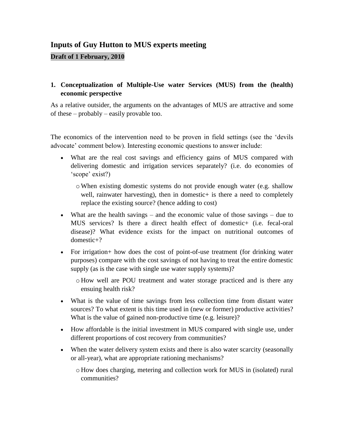# **Inputs of Guy Hutton to MUS experts meeting**

#### **Draft of 1 February, 2010**

#### **1. Conceptualization of Multiple-Use water Services (MUS) from the (health) economic perspective**

As a relative outsider, the arguments on the advantages of MUS are attractive and some of these – probably – easily provable too.

The economics of the intervention need to be proven in field settings (see the "devils advocate' comment below). Interesting economic questions to answer include:

- What are the real cost savings and efficiency gains of MUS compared with delivering domestic and irrigation services separately? (i.e. do economies of 'scope' exist?)
	- $\circ$  When existing domestic systems do not provide enough water (e.g. shallow well, rainwater harvesting), then in domestic+ is there a need to completely replace the existing source? (hence adding to cost)
- What are the health savings and the economic value of those savings due to MUS services? Is there a direct health effect of domestic+ (i.e. fecal-oral disease)? What evidence exists for the impact on nutritional outcomes of domestic+?
- For irrigation+ how does the cost of point-of-use treatment (for drinking water purposes) compare with the cost savings of not having to treat the entire domestic supply (as is the case with single use water supply systems)?

o How well are POU treatment and water storage practiced and is there any ensuing health risk?

- What is the value of time savings from less collection time from distant water sources? To what extent is this time used in (new or former) productive activities? What is the value of gained non-productive time (e.g. leisure)?
- How affordable is the initial investment in MUS compared with single use, under different proportions of cost recovery from communities?
- When the water delivery system exists and there is also water scarcity (seasonally or all-year), what are appropriate rationing mechanisms?
	- o How does charging, metering and collection work for MUS in (isolated) rural communities?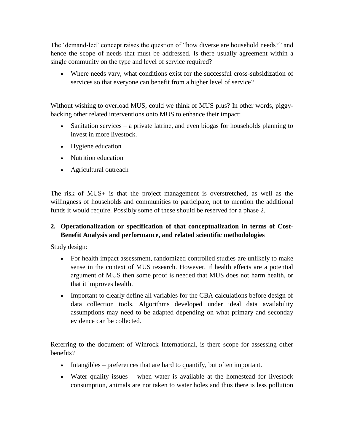The "demand-led" concept raises the question of "how diverse are household needs?" and hence the scope of needs that must be addressed. Is there usually agreement within a single community on the type and level of service required?

 Where needs vary, what conditions exist for the successful cross-subsidization of services so that everyone can benefit from a higher level of service?

Without wishing to overload MUS, could we think of MUS plus? In other words, piggybacking other related interventions onto MUS to enhance their impact:

- Sanitation services a private latrine, and even biogas for households planning to invest in more livestock.
- Hygiene education
- Nutrition education
- Agricultural outreach

The risk of MUS+ is that the project management is overstretched, as well as the willingness of households and communities to participate, not to mention the additional funds it would require. Possibly some of these should be reserved for a phase 2.

## **2. Operationalization or specification of that conceptualization in terms of Cost-Benefit Analysis and performance, and related scientific methodologies**

Study design:

- For health impact assessment, randomized controlled studies are unlikely to make sense in the context of MUS research. However, if health effects are a potential argument of MUS then some proof is needed that MUS does not harm health, or that it improves health.
- Important to clearly define all variables for the CBA calculations before design of data collection tools. Algorithms developed under ideal data availability assumptions may need to be adapted depending on what primary and seconday evidence can be collected.

Referring to the document of Winrock International, is there scope for assessing other benefits?

- Intangibles preferences that are hard to quantify, but often important.
- Water quality issues when water is available at the homestead for livestock consumption, animals are not taken to water holes and thus there is less pollution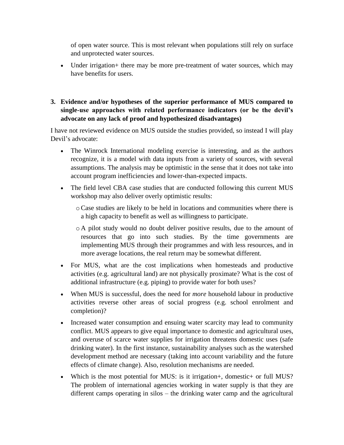of open water source. This is most relevant when populations still rely on surface and unprotected water sources.

- Under irrigation + there may be more pre-treatment of water sources, which may have benefits for users.
- **3. Evidence and/or hypotheses of the superior performance of MUS compared to single-use approaches with related performance indicators (or be the devil's advocate on any lack of proof and hypothesized disadvantages)**

I have not reviewed evidence on MUS outside the studies provided, so instead I will play Devil"s advocate:

- The Winrock International modeling exercise is interesting, and as the authors recognize, it is a model with data inputs from a variety of sources, with several assumptions. The analysis may be optimistic in the sense that it does not take into account program inefficiencies and lower-than-expected impacts.
- The field level CBA case studies that are conducted following this current MUS workshop may also deliver overly optimistic results:
	- oCase studies are likely to be held in locations and communities where there is a high capacity to benefit as well as willingness to participate.
	- o A pilot study would no doubt deliver positive results, due to the amount of resources that go into such studies. By the time governments are implementing MUS through their programmes and with less resources, and in more average locations, the real return may be somewhat different.
- For MUS, what are the cost implications when homesteads and productive activities (e.g. agricultural land) are not physically proximate? What is the cost of additional infrastructure (e.g. piping) to provide water for both uses?
- When MUS is successful, does the need for *more* household labour in productive activities reverse other areas of social progress (e.g. school enrolment and completion)?
- Increased water consumption and ensuing water scarcity may lead to community conflict. MUS appears to give equal importance to domestic and agricultural uses, and overuse of scarce water supplies for irrigation threatens domestic uses (safe drinking water). In the first instance, sustainability analyses such as the watershed development method are necessary (taking into account variability and the future effects of climate change). Also, resolution mechanisms are needed.
- Which is the most potential for MUS: is it irrigation+, domestic+ or full MUS? The problem of international agencies working in water supply is that they are different camps operating in silos – the drinking water camp and the agricultural